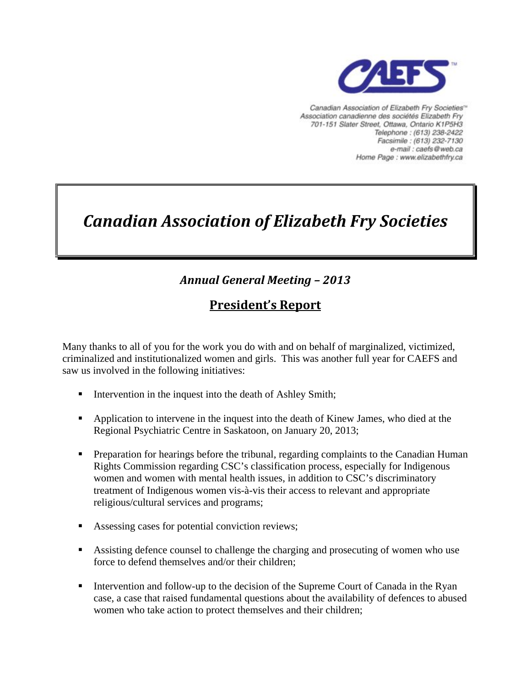

Canadian Association of Elizabeth Fry Societies<sup>16</sup> Association canadienne des sociétés Elizabeth Fry 701-151 Slater Street, Ottawa, Ontario K1P5H3 Telephone: (613) 238-2422 Facsimile: (613) 232-7130 e-mail : caefs@web.ca Home Page : www.elizabethfry.ca

# *Canadian Association of Elizabeth Fry Societies*

## *Annual General Meeting – 2013*

### **President's Report**

Many thanks to all of you for the work you do with and on behalf of marginalized, victimized, criminalized and institutionalized women and girls. This was another full year for CAEFS and saw us involved in the following initiatives:

- Intervention in the inquest into the death of Ashley Smith;
- **•** Application to intervene in the inquest into the death of Kinew James, who died at the Regional Psychiatric Centre in Saskatoon, on January 20, 2013;
- **Preparation for hearings before the tribunal, regarding complaints to the Canadian Human** Rights Commission regarding CSC's classification process, especially for Indigenous women and women with mental health issues, in addition to CSC's discriminatory treatment of Indigenous women vis-à-vis their access to relevant and appropriate religious/cultural services and programs;
- Assessing cases for potential conviction reviews;
- Assisting defence counsel to challenge the charging and prosecuting of women who use force to defend themselves and/or their children;
- Intervention and follow-up to the decision of the Supreme Court of Canada in the Ryan case, a case that raised fundamental questions about the availability of defences to abused women who take action to protect themselves and their children;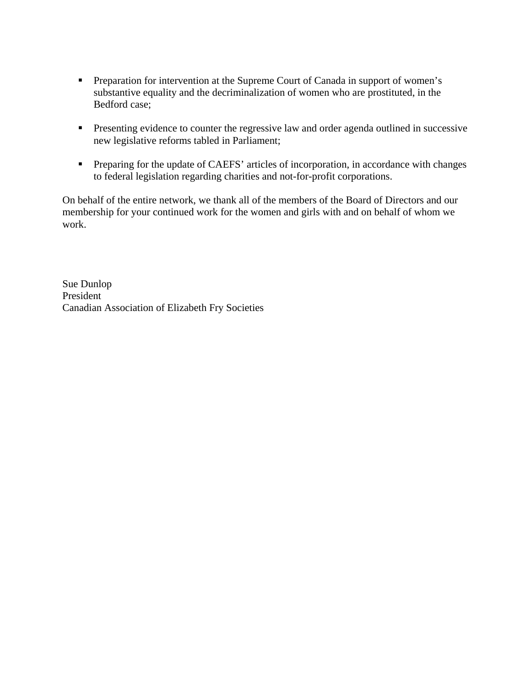- **Preparation for intervention at the Supreme Court of Canada in support of women's** substantive equality and the decriminalization of women who are prostituted, in the Bedford case;
- **Presenting evidence to counter the regressive law and order agenda outlined in successive** new legislative reforms tabled in Parliament;
- **Preparing for the update of CAEFS' articles of incorporation, in accordance with changes** to federal legislation regarding charities and not-for-profit corporations.

On behalf of the entire network, we thank all of the members of the Board of Directors and our membership for your continued work for the women and girls with and on behalf of whom we work.

Sue Dunlop President Canadian Association of Elizabeth Fry Societies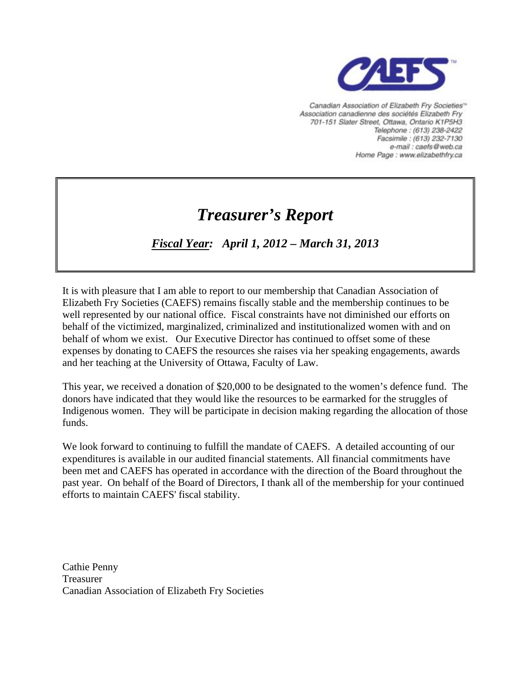

Canadian Association of Elizabeth Fry Societies<sup>16</sup> Association canadienne des sociétés Elizabeth Fry 701-151 Slater Street, Ottawa, Ontario K1P5H3 Telephone: (613) 238-2422 Facsimile: (613) 232-7130 e-mail : caefs@web.ca Home Page : www.elizabethfry.ca

## *Treasurer's Report*

### *Fiscal Year: April 1, 2012 – March 31, 2013*

It is with pleasure that I am able to report to our membership that Canadian Association of Elizabeth Fry Societies (CAEFS) remains fiscally stable and the membership continues to be well represented by our national office. Fiscal constraints have not diminished our efforts on behalf of the victimized, marginalized, criminalized and institutionalized women with and on behalf of whom we exist. Our Executive Director has continued to offset some of these expenses by donating to CAEFS the resources she raises via her speaking engagements, awards and her teaching at the University of Ottawa, Faculty of Law.

This year, we received a donation of \$20,000 to be designated to the women's defence fund. The donors have indicated that they would like the resources to be earmarked for the struggles of Indigenous women. They will be participate in decision making regarding the allocation of those funds.

We look forward to continuing to fulfill the mandate of CAEFS. A detailed accounting of our expenditures is available in our audited financial statements. All financial commitments have been met and CAEFS has operated in accordance with the direction of the Board throughout the past year. On behalf of the Board of Directors, I thank all of the membership for your continued efforts to maintain CAEFS' fiscal stability.

Cathie Penny Treasurer Canadian Association of Elizabeth Fry Societies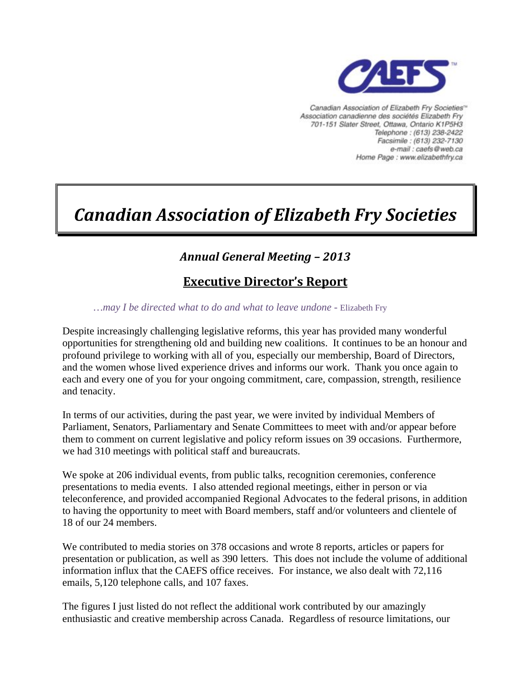

Canadian Association of Elizabeth Fry Societies<sup>16</sup> Association canadienne des sociétés Elizabeth Fry 701-151 Slater Street, Ottawa, Ontario K1P5H3 Telephone: (613) 238-2422 Facsimile: (613) 232-7130 e-mail : caefs@web.ca Home Page : www.elizabethfry.ca

# *Canadian Association of Elizabeth Fry Societies*

### *Annual General Meeting – 2013*

### **Executive Director's Report**

*…may I be directed what to do and what to leave undone -* Elizabeth Fry

Despite increasingly challenging legislative reforms, this year has provided many wonderful opportunities for strengthening old and building new coalitions. It continues to be an honour and profound privilege to working with all of you, especially our membership, Board of Directors, and the women whose lived experience drives and informs our work. Thank you once again to each and every one of you for your ongoing commitment, care, compassion, strength, resilience and tenacity.

In terms of our activities, during the past year, we were invited by individual Members of Parliament, Senators, Parliamentary and Senate Committees to meet with and/or appear before them to comment on current legislative and policy reform issues on 39 occasions. Furthermore, we had 310 meetings with political staff and bureaucrats.

We spoke at 206 individual events, from public talks, recognition ceremonies, conference presentations to media events. I also attended regional meetings, either in person or via teleconference, and provided accompanied Regional Advocates to the federal prisons, in addition to having the opportunity to meet with Board members, staff and/or volunteers and clientele of 18 of our 24 members.

We contributed to media stories on 378 occasions and wrote 8 reports, articles or papers for presentation or publication, as well as 390 letters. This does not include the volume of additional information influx that the CAEFS office receives. For instance, we also dealt with 72,116 emails, 5,120 telephone calls, and 107 faxes.

The figures I just listed do not reflect the additional work contributed by our amazingly enthusiastic and creative membership across Canada. Regardless of resource limitations, our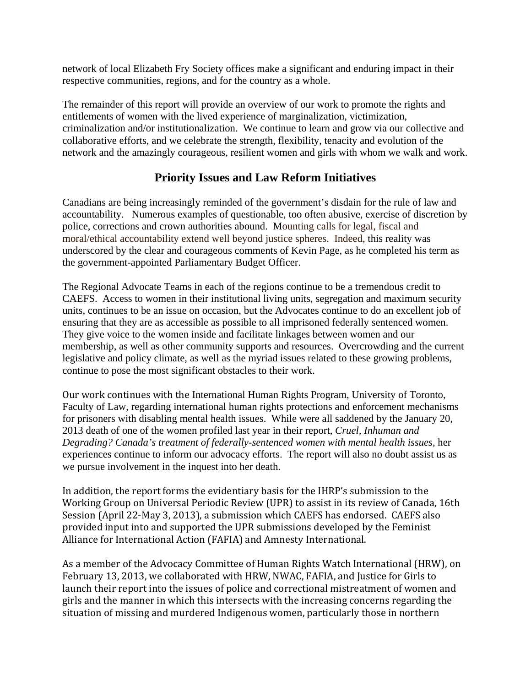network of local Elizabeth Fry Society offices make a significant and enduring impact in their respective communities, regions, and for the country as a whole.

The remainder of this report will provide an overview of our work to promote the rights and entitlements of women with the lived experience of marginalization, victimization, criminalization and/or institutionalization. We continue to learn and grow via our collective and collaborative efforts, and we celebrate the strength, flexibility, tenacity and evolution of the network and the amazingly courageous, resilient women and girls with whom we walk and work.

### **Priority Issues and Law Reform Initiatives**

Canadians are being increasingly reminded of the government's disdain for the rule of law and accountability. Numerous examples of questionable, too often abusive, exercise of discretion by police, corrections and crown authorities abound. Mounting calls for legal, fiscal and moral/ethical accountability extend well beyond justice spheres. Indeed, this reality was underscored by the clear and courageous comments of Kevin Page, as he completed his term as he government-appointed Parliamentary Budget Officer. t

The Regional Advocate Teams in each of the regions continue to be a tremendous credit to CAEFS. Access to women in their institutional living units, segregation and maximum security units, continues to be an issue on occasion, but the Advocates continue to do an excellent job of ensuring that they are as accessible as possible to all imprisoned federally sentenced women. They give voice to the women inside and facilitate linkages between women and our membership, as well as other community supports and resources. Overcrowding and the current legislative and policy climate, as well as the myriad issues related to these growing problems, continue to pose the most significant obstacles to their work.

Our work continues with the International Human Rights Program, University of Toronto, Faculty of Law, regarding international human rights protections and enforcement mechanisms for prisoners with disabling mental health issues. While were all saddened by the January 20, 2013 death of one of the women profiled last year in their report, *Cruel, Inhuman and Degrading? Canada's treatment of federally-sentenced women with mental health issues, her* experiences continue to inform our advocacy efforts. The report will also no doubt assist us as we pursue involvement in the inquest into her death.

In addition, the report forms the evidentiary basis for the IHRP's submission to the Working Group on Universal Periodic Review (UPR) to assist in its review of Canada, 16th Session (April 22‐May 3, 2013), a submission which CAEFS has endorsed. CAEFS also provided input into and supported the UPR submissions developed by the Feminist Alliance for International Action (FAFIA) and Amnesty International.

As a member of the Advocacy Committee of Human Rights Watch International (HRW), on February 13, 2013, we collaborated with HRW, NWAC, FAFIA, and Justice for Girls to launch their report into the issues of police and correctional mistreatment of women and girls and the manner in which this intersects with the increasing concerns regarding the situation of missing and murdered Indigenous women, particularly those in northern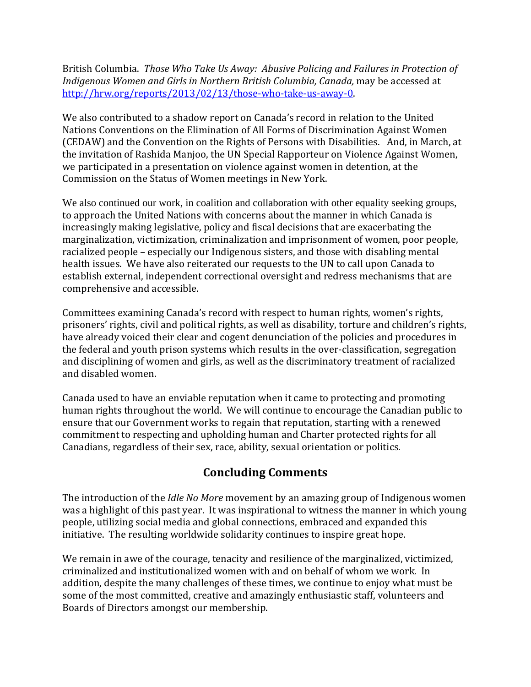British Columbia. *Those Who Take Us Away: Abusive Policing and Failures in Protection of Indigenous Women and Girls in Northern British Columbia, Canada,* may be accessed at http://hrw.org/reports/2013/02/13/those-who-take-us-away-0.

We also contributed to a shadow report on Canada's record in relation to the United Nations Conventions on the Elimination of All Forms of Discrimination Against Women (CEDAW) and the Convention on the Rights of Persons with Disabilities. And, in March, at the invitation of Rashida Manjoo, the UN Special Rapporteur on Violence Against Women, we participated in a presentation on violence against women in detention, at the Commission on the Status of Women meetings in New York.

We also continued our work, in coalition and collaboration with other equality seeking groups, to approach the United Nations with concerns about the manner in which Canada is increasingly making legislative, policy and fiscal decisions that are exacerbating the marginalization, victimization, criminalization and imprisonment of women, poor people, racialized people – especially our Indigenous sisters, and those with disabling mental health issues. We have also reiterated our requests to the UN to call upon Canada to establish external, independent correctional oversight and redress mechanisms that are comprehensive and accessible.

Committees examining Canada's record with respect to human rights, women's rights, prisoners' rights, civil and political rights, as well as disability, torture and children's rights, have already voiced their clear and cogent denunciation of the policies and procedures in the federal and youth prison systems which results in the over‐classification, segregation and disciplining of women and girls, as well as the discriminatory treatment of racialized and disabled women.

Canada used to have an enviable reputation when it came to protecting and promoting human rights throughout the world. We will continue to encourage the Canadian public to ensure that our Government works to regain that reputation, starting with a renewed ommitment to respecting and upholding human and Charter protected rights for all c Canadians, regardless of their sex, race, ability, sexual orientation or politics.

### **Concluding Comments**

The introduction of the *Idle No More* movement by an amazing group of Indigenous women was a highlight of this past year. It was inspirational to witness the manner in which young people, utilizing social media and global connections, embraced and expanded this initiative. The resulting worldwide solidarity continues to inspire great hope.

We remain in awe of the courage, tenacity and resilience of the marginalized, victimized, criminalized and institutionalized women with and on behalf of whom we work. In addition, despite the many challenges of these times, we continue to enjoy what must be some of the most committed, creative and amazingly enthusiastic staff, volunteers and Boards of Directors amongst our membership.